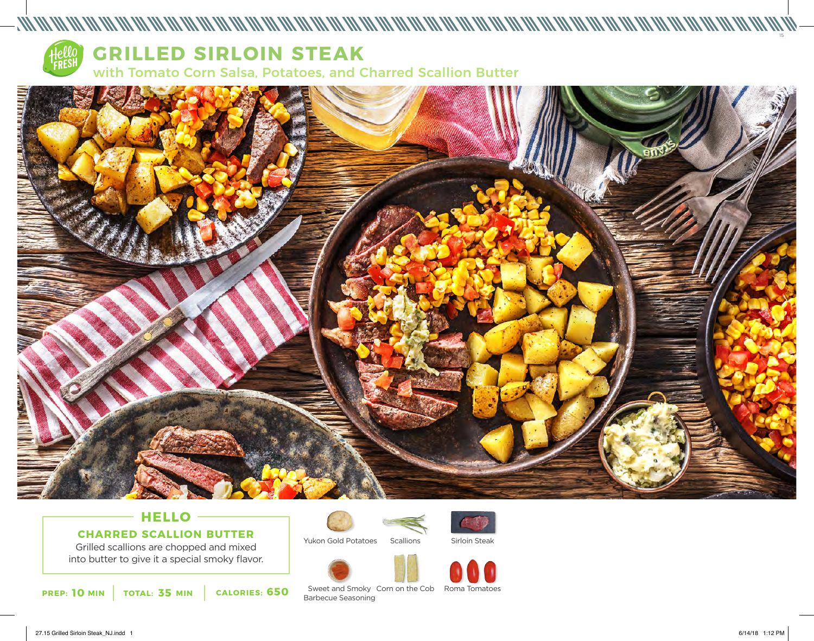



# **HELLO CHARRED SCALLION BUTTER**

Grilled scallions are chopped and mixed into butter to give it a special smoky flavor.

**10 35 650 PREP: MIN TOTAL: MIN CALORIES:**





Yukon Gold Potatoes **Scallions**  Sirloin Steak





Sweet and Smoky Corn on the Cob Roma Tomatoes Barbecue Seasoning